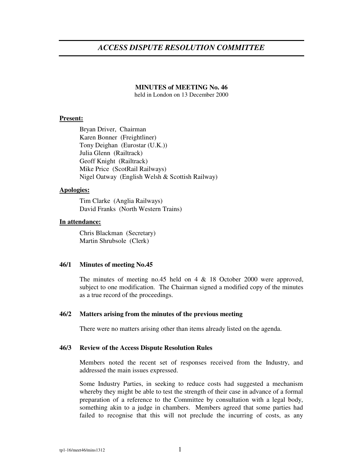# *ACCESS DISPUTE RESOLUTION COMMITTEE*

# **MINUTES of MEETING No. 46**

held in London on 13 December 2000

## **Present:**

Bryan Driver, Chairman Karen Bonner (Freightliner) Tony Deighan (Eurostar (U.K.)) Julia Glenn (Railtrack) Geoff Knight (Railtrack) Mike Price (ScotRail Railways) Nigel Oatway (English Welsh & Scottish Railway)

## **Apologies:**

Tim Clarke (Anglia Railways) David Franks (North Western Trains)

## **In attendance:**

Chris Blackman (Secretary) Martin Shrubsole (Clerk)

# **46/1 Minutes of meeting No.45**

The minutes of meeting no.45 held on 4 & 18 October 2000 were approved, subject to one modification. The Chairman signed a modified copy of the minutes as a true record of the proceedings.

#### **46/2 Matters arising from the minutes of the previous meeting**

There were no matters arising other than items already listed on the agenda.

#### **46/3 Review of the Access Dispute Resolution Rules**

Members noted the recent set of responses received from the Industry, and addressed the main issues expressed.

Some Industry Parties, in seeking to reduce costs had suggested a mechanism whereby they might be able to test the strength of their case in advance of a formal preparation of a reference to the Committee by consultation with a legal body, something akin to a judge in chambers. Members agreed that some parties had failed to recognise that this will not preclude the incurring of costs, as any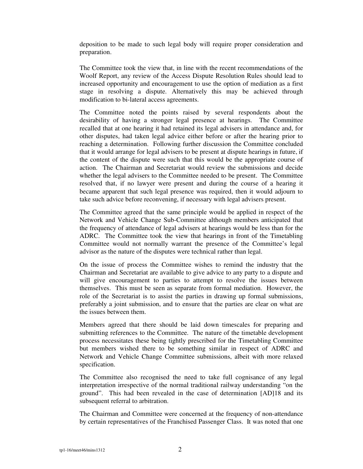deposition to be made to such legal body will require proper consideration and preparation.

The Committee took the view that, in line with the recent recommendations of the Woolf Report, any review of the Access Dispute Resolution Rules should lead to increased opportunity and encouragement to use the option of mediation as a first stage in resolving a dispute. Alternatively this may be achieved through modification to bi-lateral access agreements.

The Committee noted the points raised by several respondents about the desirability of having a stronger legal presence at hearings. The Committee recalled that at one hearing it had retained its legal advisers in attendance and, for other disputes, had taken legal advice either before or after the hearing prior to reaching a determination. Following further discussion the Committee concluded that it would arrange for legal advisers to be present at dispute hearings in future, if the content of the dispute were such that this would be the appropriate course of action. The Chairman and Secretariat would review the submissions and decide whether the legal advisers to the Committee needed to be present. The Committee resolved that, if no lawyer were present and during the course of a hearing it became apparent that such legal presence was required, then it would adjourn to take such advice before reconvening, if necessary with legal advisers present.

The Committee agreed that the same principle would be applied in respect of the Network and Vehicle Change Sub-Committee although members anticipated that the frequency of attendance of legal advisers at hearings would be less than for the ADRC. The Committee took the view that hearings in front of the Timetabling Committee would not normally warrant the presence of the Committee's legal advisor as the nature of the disputes were technical rather than legal.

On the issue of process the Committee wishes to remind the industry that the Chairman and Secretariat are available to give advice to any party to a dispute and will give encouragement to parties to attempt to resolve the issues between themselves. This must be seen as separate from formal mediation. However, the role of the Secretariat is to assist the parties in drawing up formal submissions, preferably a joint submission, and to ensure that the parties are clear on what are the issues between them.

Members agreed that there should be laid down timescales for preparing and submitting references to the Committee. The nature of the timetable development process necessitates these being tightly prescribed for the Timetabling Committee but members wished there to be something similar in respect of ADRC and Network and Vehicle Change Committee submissions, albeit with more relaxed specification.

The Committee also recognised the need to take full cognisance of any legal interpretation irrespective of the normal traditional railway understanding "on the ground". This had been revealed in the case of determination [AD]18 and its subsequent referral to arbitration.

The Chairman and Committee were concerned at the frequency of non-attendance by certain representatives of the Franchised Passenger Class. It was noted that one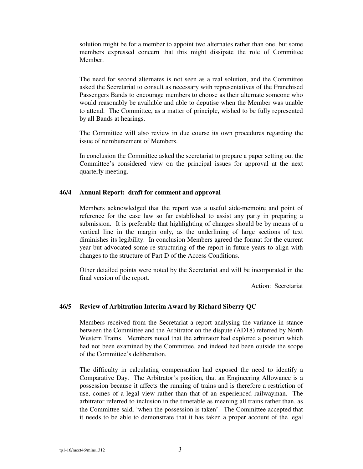solution might be for a member to appoint two alternates rather than one, but some members expressed concern that this might dissipate the role of Committee Member.

The need for second alternates is not seen as a real solution, and the Committee asked the Secretariat to consult as necessary with representatives of the Franchised Passengers Bands to encourage members to choose as their alternate someone who would reasonably be available and able to deputise when the Member was unable to attend. The Committee, as a matter of principle, wished to be fully represented by all Bands at hearings.

The Committee will also review in due course its own procedures regarding the issue of reimbursement of Members.

In conclusion the Committee asked the secretariat to prepare a paper setting out the Committee's considered view on the principal issues for approval at the next quarterly meeting.

#### **46/4 Annual Report: draft for comment and approval**

Members acknowledged that the report was a useful aide-memoire and point of reference for the case law so far established to assist any party in preparing a submission. It is preferable that highlighting of changes should be by means of a vertical line in the margin only, as the underlining of large sections of text diminishes its legibility. In conclusion Members agreed the format for the current year but advocated some re-structuring of the report in future years to align with changes to the structure of Part D of the Access Conditions.

Other detailed points were noted by the Secretariat and will be incorporated in the final version of the report.

Action: Secretariat

# **46/5 Review of Arbitration Interim Award by Richard Siberry QC**

Members received from the Secretariat a report analysing the variance in stance between the Committee and the Arbitrator on the dispute (AD18) referred by North Western Trains. Members noted that the arbitrator had explored a position which had not been examined by the Committee, and indeed had been outside the scope of the Committee's deliberation.

The difficulty in calculating compensation had exposed the need to identify a Comparative Day. The Arbitrator's position, that an Engineering Allowance is a possession because it affects the running of trains and is therefore a restriction of use, comes of a legal view rather than that of an experienced railwayman. The arbitrator referred to inclusion in the timetable as meaning all trains rather than, as the Committee said, 'when the possession is taken'. The Committee accepted that it needs to be able to demonstrate that it has taken a proper account of the legal